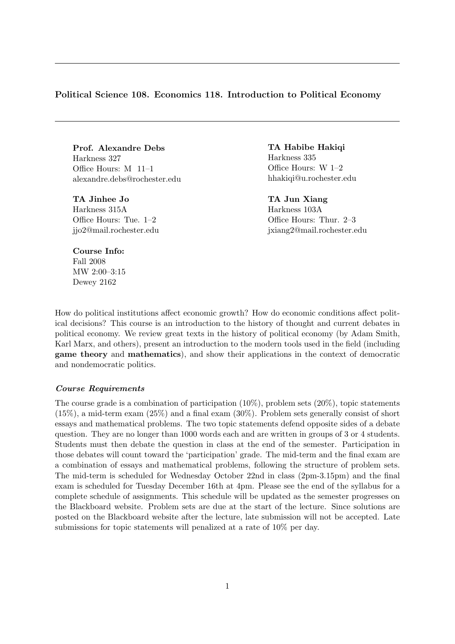# Political Science 108. Economics 118. Introduction to Political Economy

Prof. Alexandre Debs Harkness 327 Office Hours: M 11–1 alexandre.debs@rochester.edu

TA Jinhee Jo Harkness 315A Office Hours: Tue. 1–2 jjo2@mail.rochester.edu TA Habibe Hakiqi Harkness 335 Office Hours: W 1–2 hhakiqi@u.rochester.edu

TA Jun Xiang Harkness 103A Office Hours: Thur. 2–3 jxiang2@mail.rochester.edu

### Course Info:

Fall 2008 MW 2:00–3:15 Dewey 2162

How do political institutions affect economic growth? How do economic conditions affect political decisions? This course is an introduction to the history of thought and current debates in political economy. We review great texts in the history of political economy (by Adam Smith, Karl Marx, and others), present an introduction to the modern tools used in the field (including game theory and mathematics), and show their applications in the context of democratic and nondemocratic politics.

# Course Requirements

The course grade is a combination of participation  $(10\%)$ , problem sets  $(20\%)$ , topic statements (15%), a mid-term exam (25%) and a final exam (30%). Problem sets generally consist of short essays and mathematical problems. The two topic statements defend opposite sides of a debate question. They are no longer than 1000 words each and are written in groups of 3 or 4 students. Students must then debate the question in class at the end of the semester. Participation in those debates will count toward the 'participation' grade. The mid-term and the final exam are a combination of essays and mathematical problems, following the structure of problem sets. The mid-term is scheduled for Wednesday October 22nd in class (2pm-3.15pm) and the final exam is scheduled for Tuesday December 16th at 4pm. Please see the end of the syllabus for a complete schedule of assignments. This schedule will be updated as the semester progresses on the Blackboard website. Problem sets are due at the start of the lecture. Since solutions are posted on the Blackboard website after the lecture, late submission will not be accepted. Late submissions for topic statements will penalized at a rate of 10% per day.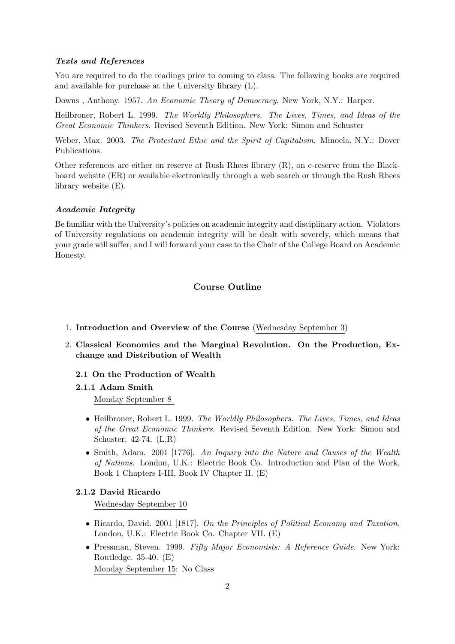# Texts and References

You are required to do the readings prior to coming to class. The following books are required and available for purchase at the University library (L).

Downs, Anthony. 1957. An Economic Theory of Democracy. New York, N.Y.: Harper.

Heilbroner, Robert L. 1999. The Worldly Philosophers. The Lives, Times, and Ideas of the Great Economic Thinkers. Revised Seventh Edition. New York: Simon and Schuster

Weber, Max. 2003. The Protestant Ethic and the Spirit of Capitalism. Minoela, N.Y.: Dover Publications.

Other references are either on reserve at Rush Rhees library (R), on e-reserve from the Blackboard website (ER) or available electronically through a web search or through the Rush Rhees library website (E).

#### Academic Integrity

Be familiar with the University's policies on academic integrity and disciplinary action. Violators of University regulations on academic integrity will be dealt with severely, which means that your grade will suffer, and I will forward your case to the Chair of the College Board on Academic Honesty.

# Course Outline

- 1. Introduction and Overview of the Course (Wednesday September 3)
- 2. Classical Economics and the Marginal Revolution. On the Production, Exchange and Distribution of Wealth
	- 2.1 On the Production of Wealth
	- 2.1.1 Adam Smith Monday September 8
		- Heilbroner, Robert L. 1999. The Worldly Philosophers. The Lives, Times, and Ideas of the Great Economic Thinkers. Revised Seventh Edition. New York: Simon and Schuster. 42-74. (L,R)
		- Smith, Adam. 2001 [1776]. An Inquiry into the Nature and Causes of the Wealth of Nations. London, U.K.: Electric Book Co. Introduction and Plan of the Work, Book 1 Chapters I-III, Book IV Chapter II. (E)

# 2.1.2 David Ricardo

Wednesday September 10

- Ricardo, David. 2001 [1817]. On the Principles of Political Economy and Taxation. London, U.K.: Electric Book Co. Chapter VII. (E)
- Pressman, Steven. 1999. Fifty Major Economists: A Reference Guide. New York: Routledge. 35-40. (E)

Monday September 15: No Class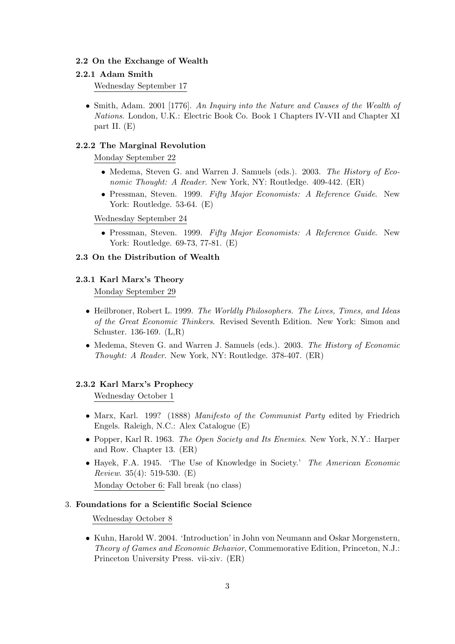# 2.2 On the Exchange of Wealth

### 2.2.1 Adam Smith

Wednesday September 17

• Smith, Adam. 2001 [1776]. An Inquiry into the Nature and Causes of the Wealth of Nations. London, U.K.: Electric Book Co. Book 1 Chapters IV-VII and Chapter XI part II. (E)

### 2.2.2 The Marginal Revolution

Monday September 22

- Medema, Steven G. and Warren J. Samuels (eds.). 2003. The History of Economic Thought: A Reader. New York, NY: Routledge. 409-442. (ER)
- Pressman, Steven. 1999. Fifty Major Economists: A Reference Guide. New York: Routledge. 53-64. (E)

### Wednesday September 24

• Pressman, Steven. 1999. Fifty Major Economists: A Reference Guide. New York: Routledge. 69-73, 77-81. (E)

# 2.3 On the Distribution of Wealth

# 2.3.1 Karl Marx's Theory

Monday September 29

- Heilbroner, Robert L. 1999. The Worldly Philosophers. The Lives, Times, and Ideas of the Great Economic Thinkers. Revised Seventh Edition. New York: Simon and Schuster. 136-169. (L,R)
- Medema, Steven G. and Warren J. Samuels (eds.). 2003. The History of Economic Thought: A Reader. New York, NY: Routledge. 378-407. (ER)

### 2.3.2 Karl Marx's Prophecy

Wednesday October 1

- Marx, Karl. 199? (1888) Manifesto of the Communist Party edited by Friedrich Engels. Raleigh, N.C.: Alex Catalogue (E)
- Popper, Karl R. 1963. The Open Society and Its Enemies. New York, N.Y.: Harper and Row. Chapter 13. (ER)
- Hayek, F.A. 1945. 'The Use of Knowledge in Society.' The American Economic *Review.* 35(4): 519-530. (E) Monday October 6: Fall break (no class)

# 3. Foundations for a Scientific Social Science

Wednesday October 8

• Kuhn, Harold W. 2004. 'Introduction' in John von Neumann and Oskar Morgenstern, Theory of Games and Economic Behavior, Commemorative Edition, Princeton, N.J.: Princeton University Press. vii-xiv. (ER)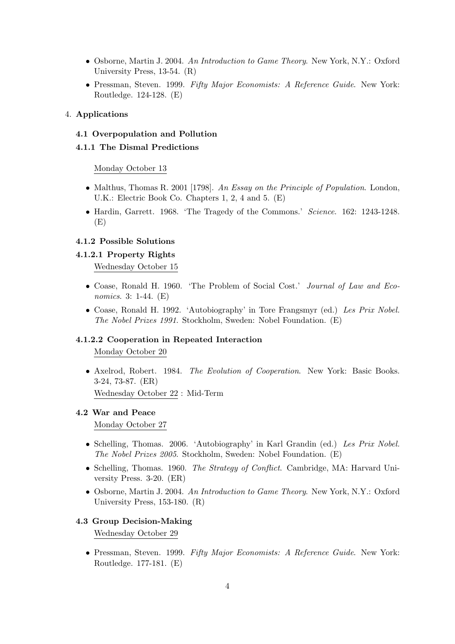- Osborne, Martin J. 2004. An Introduction to Game Theory. New York, N.Y.: Oxford University Press, 13-54. (R)
- Pressman, Steven. 1999. Fifty Major Economists: A Reference Guide. New York: Routledge. 124-128. (E)

# 4. Applications

# 4.1 Overpopulation and Pollution

# 4.1.1 The Dismal Predictions

### Monday October 13

- Malthus, Thomas R. 2001 [1798]. An Essay on the Principle of Population. London, U.K.: Electric Book Co. Chapters 1, 2, 4 and 5. (E)
- Hardin, Garrett. 1968. 'The Tragedy of the Commons.' Science. 162: 1243-1248. (E)

# 4.1.2 Possible Solutions

### 4.1.2.1 Property Rights

Wednesday October 15

- Coase, Ronald H. 1960. 'The Problem of Social Cost.' Journal of Law and Economics. 3: 1-44. (E)
- Coase, Ronald H. 1992. 'Autobiography' in Tore Frangsmyr (ed.) Les Prix Nobel. The Nobel Prizes 1991. Stockholm, Sweden: Nobel Foundation. (E)

# 4.1.2.2 Cooperation in Repeated Interaction

Monday October 20

• Axelrod, Robert. 1984. The Evolution of Cooperation. New York: Basic Books. 3-24, 73-87. (ER) Wednesday October 22 : Mid-Term

#### 4.2 War and Peace

Monday October 27

- Schelling, Thomas. 2006. 'Autobiography' in Karl Grandin (ed.) Les Prix Nobel. The Nobel Prizes 2005. Stockholm, Sweden: Nobel Foundation. (E)
- Schelling, Thomas. 1960. The Strategy of Conflict. Cambridge, MA: Harvard University Press. 3-20. (ER)
- Osborne, Martin J. 2004. An Introduction to Game Theory. New York, N.Y.: Oxford University Press, 153-180. (R)

# 4.3 Group Decision-Making

Wednesday October 29

• Pressman, Steven. 1999. Fifty Major Economists: A Reference Guide. New York: Routledge. 177-181. (E)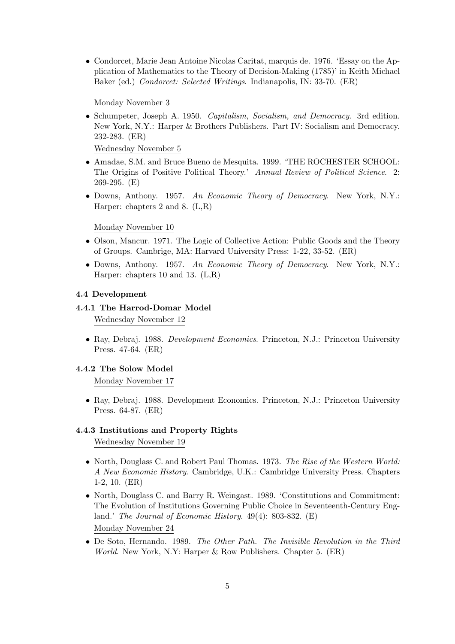• Condorcet, Marie Jean Antoine Nicolas Caritat, marquis de. 1976. 'Essay on the Application of Mathematics to the Theory of Decision-Making (1785)' in Keith Michael Baker (ed.) Condorcet: Selected Writings. Indianapolis, IN: 33-70. (ER)

Monday November 3

• Schumpeter, Joseph A. 1950. Capitalism, Socialism, and Democracy. 3rd edition. New York, N.Y.: Harper & Brothers Publishers. Part IV: Socialism and Democracy. 232-283. (ER)

Wednesday November 5

- Amadae, S.M. and Bruce Bueno de Mesquita. 1999. 'THE ROCHESTER SCHOOL: The Origins of Positive Political Theory.' Annual Review of Political Science. 2: 269-295. (E)
- Downs, Anthony. 1957. An Economic Theory of Democracy. New York, N.Y.: Harper: chapters 2 and 8. (L,R)

Monday November 10

- Olson, Mancur. 1971. The Logic of Collective Action: Public Goods and the Theory of Groups. Cambrige, MA: Harvard University Press: 1-22, 33-52. (ER)
- Downs, Anthony. 1957. An Economic Theory of Democracy. New York, N.Y.: Harper: chapters 10 and 13. (L,R)

# 4.4 Development

#### 4.4.1 The Harrod-Domar Model

Wednesday November 12

• Ray, Debraj. 1988. Development Economics. Princeton, N.J.: Princeton University Press. 47-64. (ER)

#### 4.4.2 The Solow Model

Monday November 17

• Ray, Debraj. 1988. Development Economics. Princeton, N.J.: Princeton University Press. 64-87. (ER)

# 4.4.3 Institutions and Property Rights

Wednesday November 19

- North, Douglass C. and Robert Paul Thomas. 1973. The Rise of the Western World: A New Economic History. Cambridge, U.K.: Cambridge University Press. Chapters 1-2, 10. (ER)
- North, Douglass C. and Barry R. Weingast. 1989. 'Constitutions and Commitment: The Evolution of Institutions Governing Public Choice in Seventeenth-Century England.' The Journal of Economic History.  $49(4)$ : 803-832. (E) Monday November 24
- De Soto, Hernando. 1989. The Other Path. The Invisible Revolution in the Third World. New York, N.Y: Harper & Row Publishers. Chapter 5. (ER)